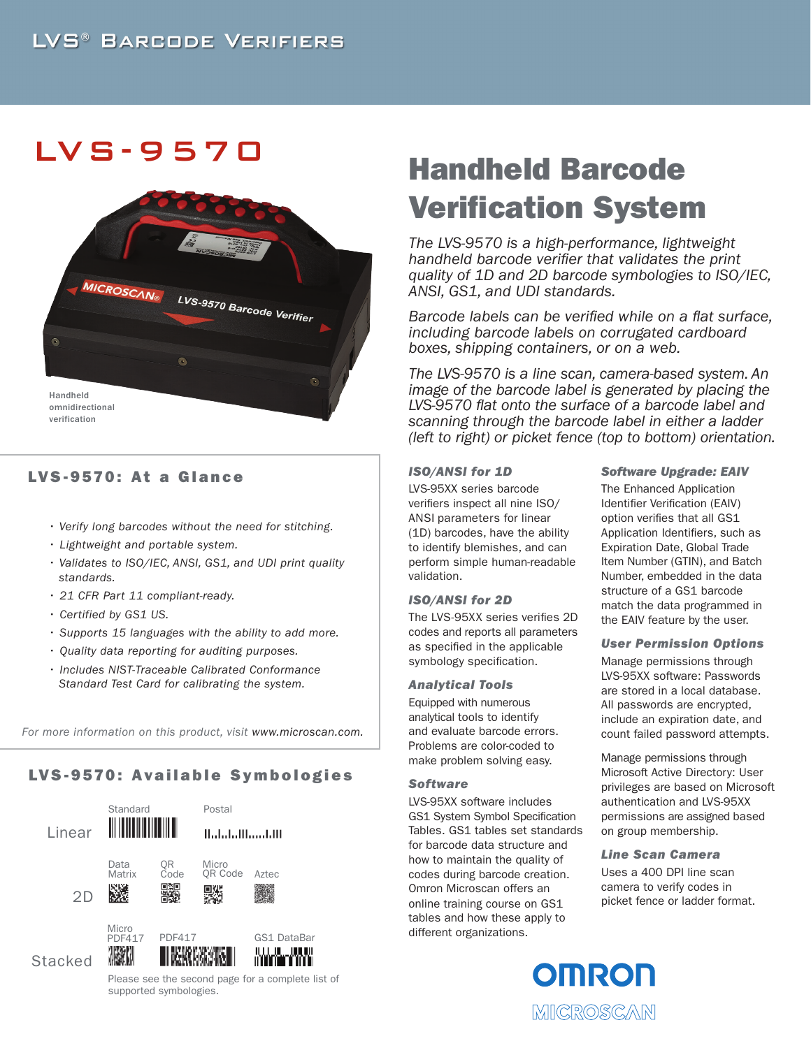## LVS -9570



## LVS-9570: At a Glance

- *Verify long barcodes without the need for stitching.*
- *Lightweight and portable system.*
- *Validates to ISO/IEC, ANSI, GS1, and UDI print quality standards.*
- *21 CFR Part 11 compliant-ready.*
- *Certified by GS1 US.*
- *Supports 15 languages with the ability to add more.*
- *Quality data reporting for auditing purposes.*
- *Includes NIST-Traceable Calibrated Conformance Standard Test Card for calibrating the system.*

*For more information on this product, visit www.microscan.com.*

## LVS-9570: Available Symbologies



# Handheld Barcode Verification System

*The LVS-9570 is a high-performance, lightweight handheld barcode verifier that validates the print quality of 1D and 2D barcode symbologies to ISO/IEC, ANSI, GS1, and UDI standards.* 

*Barcode labels can be verified while on a flat surface, including barcode labels on corrugated cardboard boxes, shipping containers, or on a web.* 

*The LVS-9570 is a line scan, camera-based system. An image of the barcode label is generated by placing the LVS-9570 flat onto the surface of a barcode label and scanning through the barcode label in either a ladder (left to right) or picket fence (top to bottom) orientation.*

### *ISO/ANSI for 1D*

LVS-95XX series barcode verifiers inspect all nine ISO/ ANSI parameters for linear (1D) barcodes, have the ability to identify blemishes, and can perform simple human-readable validation.

#### *ISO/ANSI for 2D*

The LVS-95XX series verifies 2D codes and reports all parameters as specified in the applicable symbology specification.

#### *Analytical Tools*

Equipped with numerous analytical tools to identify and evaluate barcode errors. Problems are color-coded to make problem solving easy.

#### *Software*

LVS-95XX software includes GS1 System Symbol Specification Tables. GS1 tables set standards for barcode data structure and how to maintain the quality of codes during barcode creation. Omron Microscan offers an online training course on GS1 tables and how these apply to different organizations.

#### *Software Upgrade: EAIV*

The Enhanced Application Identifier Verification (EAIV) option verifies that all GS1 Application Identifiers, such as Expiration Date, Global Trade Item Number (GTIN), and Batch Number, embedded in the data structure of a GS1 barcode match the data programmed in the EAIV feature by the user.

#### *User Permission Options*

Manage permissions through LVS-95XX software: Passwords are stored in a local database. All passwords are encrypted, include an expiration date, and count failed password attempts.

Manage permissions through Microsoft Active Directory: User privileges are based on Microsoft authentication and LVS-95XX permissions are assigned based on group membership.

*Line Scan Camera*

Uses a 400 DPI line scan camera to verify codes in picket fence or ladder format.